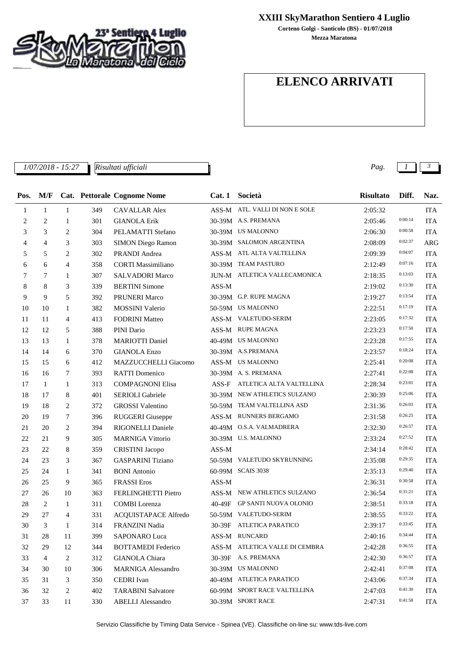

## **XXIII SkyMarathon Sentiero 4 Luglio**

**Mezza Maratona Corteno Golgi - Santicolo (BS) - 01/07/2018**

## **ELENCO ARRIVATI**

*1/07/2018 - 15:27 Pag. 1 3 Risultati ufficiali*

| Pos. | M/F          |                |     | Cat. Pettorale Cognome Nome | Cat.1 | Società                        | <b>Risultato</b> | Diff.   | Naz.       |
|------|--------------|----------------|-----|-----------------------------|-------|--------------------------------|------------------|---------|------------|
| 1    | $\mathbf{1}$ | $\mathbf{1}$   | 349 | <b>CAVALLAR Alex</b>        |       | ASS-M ATL. VALLI DI NON E SOLE | 2:05:32          |         | <b>ITA</b> |
| 2    | 2            | 1              | 301 | <b>GIANOLA Erik</b>         |       | 30-39M A.S. PREMANA            | 2:05:46          | 0:00:14 | <b>ITA</b> |
| 3    | 3            | 2              | 304 | PELAMATTI Stefano           |       | 30-39M US MALONNO              | 2:06:30          | 0:00:58 | <b>ITA</b> |
| 4    | 4            | 3              | 303 | SIMON Diego Ramon           |       | 30-39M SALOMON ARGENTINA       | 2:08:09          | 0:02:37 | <b>ARG</b> |
| 5    | 5            | 2              | 302 | PRANDI Andrea               |       | ASS-M ATL ALTA VALTELLINA      | 2:09:39          | 0:04:07 | <b>ITA</b> |
| 6    | 6            | 4              | 358 | <b>CORTI</b> Massimiliano   |       | 30-39M TEAM PASTURO            | 2:12:49          | 0:07:16 | <b>ITA</b> |
| 7    | 7            | 1              | 307 | <b>SALVADORI Marco</b>      |       | JUN-M ATLETICA VALLECAMONICA   | 2:18:35          | 0:13:03 | <b>ITA</b> |
| 8    | 8            | 3              | 339 | <b>BERTINI</b> Simone       | ASS-M |                                | 2:19:02          | 0:13:30 | <b>ITA</b> |
| 9    | 9            | 5              | 392 | PRUNERI Marco               |       | 30-39M G.P. RUPE MAGNA         | 2:19:27          | 0:13:54 | <b>ITA</b> |
| 10   | 10           | 1              | 382 | <b>MOSSINI</b> Valerio      |       | 50-59M US MALONNO              | 2:22:51          | 0:17:19 | <b>ITA</b> |
| 11   | 11           | 4              | 413 | <b>FODRINI</b> Matteo       |       | ASS-M VALETUDO-SERIM           | 2:23:05          | 0:17:32 | <b>ITA</b> |
| 12   | 12           | 5              | 388 | PINI Dario                  |       | ASS-M RUPE MAGNA               | 2:23:23          | 0:17:50 | <b>ITA</b> |
| 13   | 13           | 1              | 378 | <b>MARIOTTI Daniel</b>      |       | 40-49M US MALONNO              | 2:23:28          | 0:17:55 | <b>ITA</b> |
| 14   | 14           | 6              | 370 | <b>GIANOLA</b> Enzo         |       | 30-39M A.S.PREMANA             | 2:23:57          | 0:18:24 | <b>ITA</b> |
| 15   | 15           | 6              | 412 | MAZZUCCHELLI Giacomo        |       | ASS-M US MALONNO               | 2:25:41          | 0:20:08 | <b>ITA</b> |
| 16   | 16           | 7              | 393 | <b>RATTI</b> Domenico       |       | 30-39M A.S. PREMANA            | 2:27:41          | 0:22:08 | <b>ITA</b> |
| 17   | $\mathbf{1}$ | 1              | 313 | <b>COMPAGNONI Elisa</b>     | ASS-F | ATLETICA ALTA VALTELLINA       | 2:28:34          | 0:23:01 | <b>ITA</b> |
| 18   | 17           | 8              | 401 | SERIOLI Gabriele            |       | 30-39M NEW ATHLETICS SULZANO   | 2:30:39          | 0:25:06 | <b>ITA</b> |
| 19   | 18           | 2              | 372 | <b>GROSSI</b> Valentino     |       | 50-59M TEAM VALTELLINA ASD     | 2:31:36          | 0:26:03 | <b>ITA</b> |
| 20   | 19           | 7              | 396 | <b>RUGGERI</b> Giuseppe     |       | ASS-M RUNNERS BERGAMO          | 2:31:58          | 0:26:25 | <b>ITA</b> |
| 21   | 20           | 2              | 394 | RIGONELLI Daniele           |       | 40-49M O.S.A. VALMADRERA       | 2:32:30          | 0:26:57 | <b>ITA</b> |
| 22   | 21           | 9              | 305 | <b>MARNIGA Vittorio</b>     |       | 30-39M U.S. MALONNO            | 2:33:24          | 0:27:52 | <b>ITA</b> |
| 23   | 22           | 8              | 359 | <b>CRISTINI</b> Jacopo      | ASS-M |                                | 2:34:14          | 0:28:42 | <b>ITA</b> |
| 24   | 23           | 3              | 367 | <b>GASPARINI</b> Tiziano    |       | 50-59M VALETUDO SKYRUNNING     | 2:35:08          | 0:29:35 | <b>ITA</b> |
| 25   | 24           | 1              | 341 | <b>BONI</b> Antonio         |       | 60-99M SCAIS 3038              | 2:35:13          | 0:29:40 | <b>ITA</b> |
| 26   | 25           | 9              | 365 | <b>FRASSI</b> Eros          | ASS-M |                                | 2:36:31          | 0:30:58 | <b>ITA</b> |
| 27   | 26           | 10             | 363 | FERLINGHETTI Pietro         |       | ASS-M NEW ATHLETICS SULZANO    | 2:36:54          | 0:31:21 | <b>ITA</b> |
| 28   | 2            | 1              | 311 | <b>COMBI</b> Lorenza        |       | 40-49F GP SANTI NUOVA OLONIO   | 2:38:51          | 0:33:18 | <b>ITA</b> |
| 29   | 27           | $\overline{4}$ | 331 | ACQUISTAPACE Alfredo        |       | 50-59M VALETUDO-SERIM          | 2:38:55          | 0:33:22 | <b>ITA</b> |
| 30   | 3            | $\mathbf{1}$   | 314 | FRANZINI Nadia              |       | 30-39F ATLETICA PARATICO       | 2:39:17          | 0:33:45 | <b>ITA</b> |
| 31   | 28           | 11             | 399 | SAPONARO Luca               |       | ASS-M RUNCARD                  | 2:40:16          | 0:34:44 | <b>ITA</b> |
| 32   | 29           | 12             | 344 | <b>BOTTAMEDI</b> Federico   |       | ASS-M ATLETICA VALLE DI CEMBRA | 2:42:28          | 0:36:55 | ITA        |
| 33   | 4            | 2              | 312 | <b>GIANOLA</b> Chiara       |       | 30-39F A.S. PREMANA            | 2:42:30          | 0:36:57 | <b>ITA</b> |
| 34   | 30           | 10             | 306 | <b>MARNIGA Alessandro</b>   |       | 30-39M US MALONNO              | 2:42:41          | 0:37:08 | ITA        |
| 35   | 31           | 3              | 350 | <b>CEDRI</b> Ivan           |       | 40-49M ATLETICA PARATICO       | 2:43:06          | 0:37:34 | ITA        |
| 36   | 32           | 2              | 402 | <b>TARABINI Salvatore</b>   |       | 60-99M SPORT RACE VALTELLINA   | 2:47:03          | 0:41:30 | ITA        |
| 37   | 33           | 11             | 330 | <b>ABELLI Alessandro</b>    |       | 30-39M SPORT RACE              | 2:47:31          | 0:41:58 | <b>ITA</b> |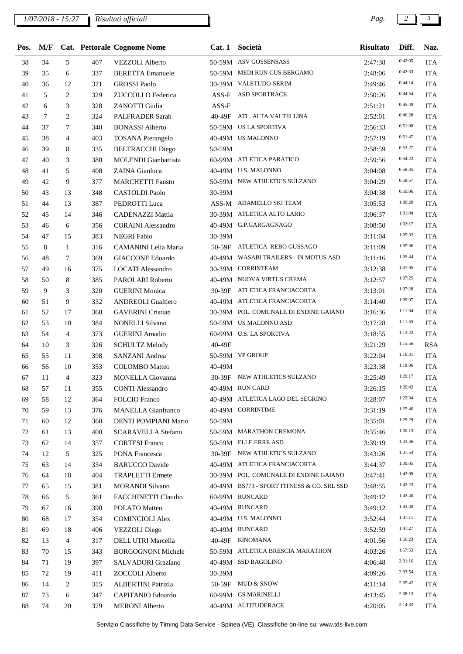## *1/07/2018 - 15:27 Pag. 2 3*

*Risultati ufficiali*

| Pos.     | M/F |                |     | Cat. Pettorale Cognome Nome                    | Cat.1  | Società                                    | <b>Risultato</b> | Diff.              | Naz.       |
|----------|-----|----------------|-----|------------------------------------------------|--------|--------------------------------------------|------------------|--------------------|------------|
| 38       | 34  | 5              | 407 | <b>VEZZOLI</b> Alberto                         |        | 50-59M ASV GOSSENSASS                      | 2:47:38          | 0:42:05            | <b>ITA</b> |
| 39       | 35  | 6              | 337 | <b>BERETTA Emanuele</b>                        |        | 50-59M MEDI RUN CUS BERGAMO                | 2:48:06          | 0:42:33            | <b>ITA</b> |
| 40       | 36  | 12             | 371 | <b>GROSSI Paolo</b>                            |        | 30-39M VALETUDO-SERIM                      | 2:49:46          | 0:44:14            | <b>ITA</b> |
| 41       | 5   | 2              | 329 | ZUCCOLLO Federica                              | ASS-F  | ASD SPORTRACE                              | 2:50:26          | 0:44:54            | <b>ITA</b> |
| 42       | 6   | 3              | 328 | ZANOTTI Giulia                                 | ASS-F  |                                            | 2:51:21          | 0:45:49            | <b>ITA</b> |
| 43       | 7   | 2              | 324 | PALFRADER Sarah                                |        | 40-49F ATL. ALTA VALTELLINA                | 2:52:01          | 0:46:28            | <b>ITA</b> |
| 44       | 37  | 7              | 340 | <b>BONASSI Alberto</b>                         |        | 50-59M US LA SPORTIVA                      | 2:56:33          | 0:51:00            | <b>ITA</b> |
| 45       | 38  | $\overline{4}$ | 403 | <b>TOSANA Pierangelo</b>                       |        | 40-49M US MALONNO                          | 2:57:19          | 0:51:47            | <b>ITA</b> |
| 46       | 39  | 8              | 335 | <b>BELTRACCHI Diego</b>                        | 50-59M |                                            | 2:58:59          | 0:53:27            | <b>ITA</b> |
| 47       | 40  | 3              | 380 | MOLENDI Gianbattista                           |        | 60-99M ATLETICA PARATICO                   | 2:59:56          | 0:54:23            | <b>ITA</b> |
| 48       | 41  | 5              | 408 | ZAINA Gianluca                                 |        | 40-49M U.S. MALONNO                        | 3:04:08          | 0:58:35            | <b>ITA</b> |
| 49       | 42  | 9              | 377 | <b>MARCHETTI Fausto</b>                        |        | 50-59M NEW ATHLETICS SULZANO               | 3:04:29          | 0:58:57            | <b>ITA</b> |
| 50       | 43  | 13             | 348 | <b>CASTOLDI</b> Paolo                          | 30-39M |                                            | 3:04:38          | 0:59:06            | <b>ITA</b> |
| 51       | 44  | 13             | 387 | PEDROTTI Luca                                  |        | ASS-M ADAMELLO SKI TEAM                    | 3:05:53          | 1:00:20            | <b>ITA</b> |
| 52       | 45  | 14             | 346 | <b>CADENAZZI Mattia</b>                        |        | 30-39M ATLETICA ALTO LARIO                 | 3:06:37          | 1:01:04            | <b>ITA</b> |
| 53       | 46  | 6              | 356 | <b>CORAINI</b> Alessandro                      |        | 40-49M G.P.GARGAGNAGO                      | 3:08:50          | 1:03:17            | <b>ITA</b> |
| 54       | 47  | 15             | 383 | <b>NEGRI Fabio</b>                             | 30-39M |                                            | 3:11:04          | 1:05:32            | <b>ITA</b> |
| 55       | 8   | 1              | 316 | CAMANINI Lelia Maria                           |        | 50-59F ATLETICA REBO GUSSAGO               | 3:11:09          | 1:05:36            | <b>ITA</b> |
| 56       | 48  | 7              | 369 | <b>GIACCONE Edoardo</b>                        |        | 40-49M WASABI TRAILERS - IN MOTUS ASD      | 3:11:16          | 1:05:44            | <b>ITA</b> |
| 57       | 49  | 16             | 375 | <b>LOCATI</b> Alessandro                       |        | 30-39M CORRINTEAM                          | 3:12:38          | 1:07:05            | <b>ITA</b> |
| 58       | 50  | 8              | 385 | PAROLARI Roberto                               |        | 40-49M NUOVA VIRTUS CREMA                  | 3:12:57          | 1:07:25            | <b>ITA</b> |
| 59       | 9   | 3              | 320 | <b>GUERINI</b> Monica                          |        | 30-39F ATLETICA FRANCIACORTA               | 3:13:01          | 1:07:28            | <b>ITA</b> |
| 60       | 51  | 9              | 332 | <b>ANDREOLI Gualtiero</b>                      |        | 40-49M ATLETICA FRANCIACORTA               | 3:14:40          | 1:09:07            | <b>ITA</b> |
| 61       | 52  | 17             | 368 | <b>GAVERINI</b> Cristian                       |        | 30-39M POL. COMUNALE DI ENDINE GAIANO      | 3:16:36          | 1:11:04            | <b>ITA</b> |
| 62       | 53  | 10             | 384 | <b>NONELLI Silvano</b>                         |        | 50-59M US MALONNO ASD                      | 3:17:28          | 1:11:55            | <b>ITA</b> |
|          | 54  | $\overline{4}$ |     |                                                |        | 60-99M U.S. LA SPORTIVA                    |                  | 1:13:23            | <b>ITA</b> |
| 63<br>64 |     |                | 373 | <b>GUERINI</b> Amadio<br><b>SCHULTZ Melody</b> | 40-49F |                                            | 3:18:55          | 1:15:56            | <b>RSA</b> |
|          | 10  | 3              | 326 |                                                |        |                                            | 3:21:29          | 1:16:31            |            |
| 65       | 55  | 11             | 398 | SANZANI Andrea                                 |        | 50-59M VP GROUP                            | 3:22:04          | 1:18:06            | <b>ITA</b> |
| 66       | 56  | 10             | 353 | <b>COLOMBO</b> Matteo                          | 40-49M | 30-39F NEW ATHLETICS SULZANO               | 3:23:38          | 1:20:17            | <b>ITA</b> |
| 67       | 11  | $\overline{4}$ | 323 | <b>MONELLA</b> Giovanna                        |        |                                            | 3:25:49          | 1:20:42            | <b>ITA</b> |
| 68       | 57  | 11             | 355 | <b>CONTI Alessandro</b>                        |        | 40-49M RUN CARD                            | 3:26:15          | 1:22:34            | <b>ITA</b> |
| 69       | 58  | 12             | 364 | <b>FOLCIO</b> Franco                           |        | 40-49M ATLETICA LAGO DEL SEGRINO           | 3:28:07          | 1:25:46            | <b>ITA</b> |
| 70       | 59  | 13             | 376 | <b>MANELLA Gianfranco</b>                      |        | 40-49M CORRINTIME                          | 3:31:19          |                    | <b>ITA</b> |
| 71       | 60  | 12             | 360 | DENTI POMPIANI Mario                           | 50-59M |                                            | 3:35:01          | 1:29:29<br>1:30:13 | <b>ITA</b> |
| 72       | 61  | 13             | 400 | <b>SCARAVELLA Stefano</b>                      |        | 50-59M MARATHON CREMONA                    | 3:35:46          | 1:33:46            | <b>ITA</b> |
| 73       | 62  | 14             | 357 | <b>CORTESI Franco</b>                          |        | 50-59M ELLE ERRE ASD                       | 3:39:19          |                    | ITA        |
| 74       | 12  | 5              | 325 | PONA Francesca                                 |        | 30-39F NEW ATHLETICS SULZANO               | 3:43:26          | 1:37:54            | <b>ITA</b> |
| 75       | 63  | 14             | 334 | <b>BARUCCO</b> Davide                          |        | 40-49M ATLETICA FRANCIACORTA               | 3:44:37          | 1:39:05            | <b>ITA</b> |
| 76       | 64  | 18             | 404 | <b>TRAPLETTI</b> Ermete                        |        | 30-39M POL. COMUNALE DI ENDINE GAIANO      | 3:47:41          | 1:42:09            | <b>ITA</b> |
| 77       | 65  | 15             | 381 | <b>MORANDI Silvano</b>                         |        | 40-49M BS773 - SPORT FITNESS & CO. SRL SSD | 3:48:55          | 1:43:23            | <b>ITA</b> |
| 78       | 66  | 5              | 361 | <b>FACCHINETTI Claudio</b>                     |        | 60-99M RUNCARD                             | 3:49:12          | 1:43:40            | <b>ITA</b> |
| 79       | 67  | 16             | 390 | POLATO Matteo                                  |        | 40-49M RUNCARD                             | 3:49:12          | 1:43:40            | <b>ITA</b> |
| 80       | 68  | 17             | 354 | <b>COMINCIOLI Alex</b>                         |        | 40-49M U.S. MALONNO                        | 3:52:44          | 1:47:11            | <b>ITA</b> |
| 81       | 69  | 18             | 406 | <b>VEZZOLI</b> Diego                           |        | 40-49M RUNCARD                             | 3:52:59          | 1:47:27            | <b>ITA</b> |
| 82       | 13  | 4              | 317 | DELL'UTRI Marcella                             |        | 40-49F KINOMANA                            | 4:01:56          | 1:56:23            | <b>ITA</b> |
| 83       | 70  | 15             | 343 | <b>BORGOGNONI Michele</b>                      |        | 50-59M ATLETICA BRESCIA MARATHON           | 4:03:26          | 1:57:53            | <b>ITA</b> |
| 84       | 71  | 19             | 397 | SALVADORI Graziano                             |        | 40-49M SSD BAGOLINO                        | 4:06:48          | 2:01:16            | <b>ITA</b> |
| 85       | 72  | 19             | 411 | ZOCCOLI Alberto                                | 30-39M |                                            | 4:09:26          | 2:03:54            | ITA        |
| 86       | 14  | 2              | 315 | ALBERTINI Patrizia                             |        | 50-59F MUD & SNOW                          | 4:11:14          | 2:05:42            | <b>ITA</b> |
| 87       | 73  | 6              | 347 | CAPITANIO Edoardo                              |        | 60-99M GS MARINELLI                        | 4:13:45          | 2:08:13            | <b>ITA</b> |
| 88       | 74  | 20             | 379 | <b>MERONI</b> Alberto                          |        | 40-49M ALTITUDERACE                        | 4:20:05          | 2:14:33            | <b>ITA</b> |